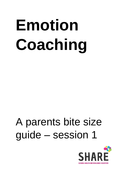# **Emotion Coaching**

# A parents bite size guide – session 1

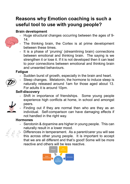# **Reasons why Emotion coaching is such a useful tool to use with young people?**

#### **Brain development**



- The thinking brain, the Cortex is at prime development between these times.
- It is a phase of 'pruning' (streamlining brain) connections between emotional and thinking brain. The saying is we strengthen it or lose it. If it is not developed then it can lead to poor connections between emotional and thinking brain and unwanted behaviours.

#### **Fatigue**

Sudden burst of growth, especially in the brain and heart.



- Sleep changes. Melatonin, the hormone to induce sleep is naturally released around 1am for those aged about 13. For adults it is around 10pm.

#### **Self-discovery**

- Shift in importance of friendships. Some young people experience high conflicts at home, in school and amongst peers.
- Finding out if they are normal then who are they as an individual. Self-comparison can have damaging effects if not handled in the right way.

#### **Hormones**

- Serotonin & dopamine are higher in young people. This can naturally result in a lower mood.



Differences in temperament. As a parent/carer you will see this across other young people. It is important to accept that we are all different and that's good! Some will be more reactive and others will be less reactive.

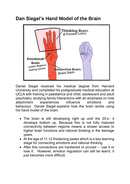## **Dan Siegel's Hand Model of the Brain**



Daniel Siegel received his medical degree from Harvard University and completed his postgraduate medical education at UCLA with training in paediatrics and child, adolescent and adult psychiatry, studying family interactions with an emphasis on how attachment experiences influence emotions and behaviour. Daniel Siegel explains how the brain works using his hand model of the brain.

- The brain is still developing right up until the 20's– it develops bottom up. Because this is not fully matured connectivity between regions means a slower access to higher brain functions and rational thinking in the teenage years.
- At the age of 11-12 thickening peaks which is a key learning stage for connecting emotions and rational thinking.
- After this connections are hardwired or pruned 'use it or lose it'. However, emotion regulation can still be learnt, it just becomes more difficult.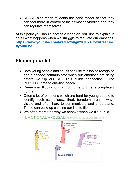• SHARE also teach students the hand model so that they can feel more in control of their emotions/bodies and they can regulate themselves.

At this point you should access a video on YouTube to explain in detail what happens when we struggle to regulate our emotions. **[https://www.youtube.com/watch?v=gm9CIJ74Oxw&feature](https://www.youtube.com/watch?v=gm9CIJ74Oxw&feature=youtu.be) [=youtu.be](https://www.youtube.com/watch?v=gm9CIJ74Oxw&feature=youtu.be)**

# **Flipping our lid**

- Both young people and adults can use this tool to recognise and if needed communicate when our emotions are rising before we flip our lid. This builds connection. The PERFECT time to emotion coach.
- Remember flipping our lid from time to time is completely normal.
- Often a lot of emotions which are hard for young people to identify such as jealousy, tired, boredom aren't always visible and often hard to communicate and understand. These can build up causing our lids to flip.
- We often regret the way we behave when we flip our lid.



#### **EMOTIONAL AROUSAL** and the HAND MODEL OF THE BRAIN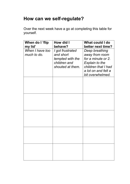## **How can we self-regulate?**

Over the next week have a go at completing this table for yourself.

| When do I 'flip<br>my lid'     | How did I<br>behave?                                                                  | What could I do<br>better next time?                                                                                                       |
|--------------------------------|---------------------------------------------------------------------------------------|--------------------------------------------------------------------------------------------------------------------------------------------|
| When I have too<br>much to do. | I got frustrated<br>and short<br>tempted with the<br>children and<br>shouted at them. | Deep breathing<br>away from room<br>for a minute or 2.<br>Explain to the<br>children that I had<br>a lot on and felt a<br>bit overwhelmed. |
|                                |                                                                                       |                                                                                                                                            |
|                                |                                                                                       |                                                                                                                                            |
|                                |                                                                                       |                                                                                                                                            |
|                                |                                                                                       |                                                                                                                                            |
|                                |                                                                                       |                                                                                                                                            |